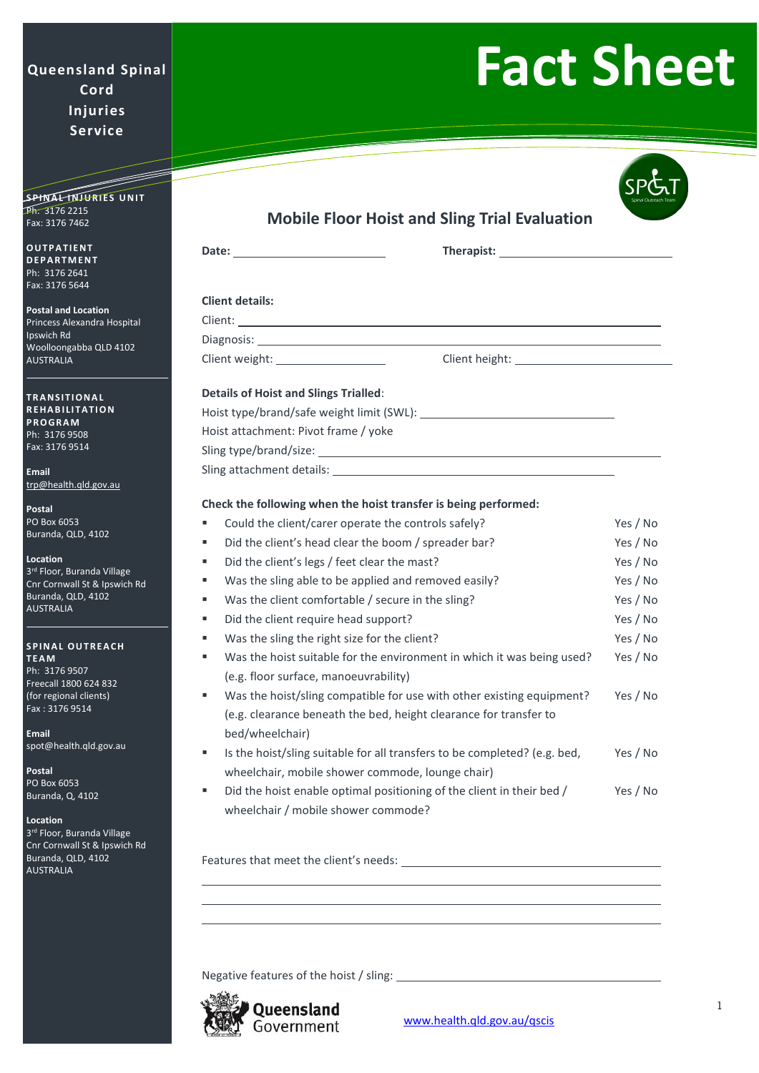# **Queensland Spinal Cord Injuries Service**

=<br>|-

# **Fact Sheet**

Fax: 3176 7462 **O U T P A T I E N T D E P A R T M E N T**

SPINA<del>L INJURIES</del> UNIT

Ph: 3176 2641 Fax: 3176 5644

Ph: 3176 2215

**Postal and Location** Princess Alexandra Hospital Ipswich Rd Woolloongabba QLD 4102 AUSTRALIA

**T R A N S I T I O N A L R E H A B I LI T A T I O N P R O G R A M** Ph: 3176 9508 Fax: 3176 9514

**Email** [trp@health.qld.gov.au](mailto:trp@health.qld.gov.au)

**Postal** PO Box 6053 Buranda, QLD, 4102

**Location** 3<sup>rd</sup> Floor, Buranda Village Cnr Cornwall St & Ipswich Rd Buranda, QLD, 4102 AUSTRALIA

#### **SPINAL OUTREACH T E A M** Ph: 3176 9507 Freecall 1800 624 832 (for regional clients)

**Email** [spot@health.qld.gov.au](mailto:spot@health.qld.gov.au)

**Postal** PO Box 6053 Buranda, Q, 4102

Fax : 3176 9514

### **Location**

3<sup>rd</sup> Floor, Buranda Village Cnr Cornwall St & Ipswich Rd Buranda, QLD, 4102 AUSTRALIA

|                                                                      | Date: the contract of the contract of the contract of the contract of the contract of the contract of the contract of the contract of the contract of the contract of the contract of the contract of the contract of the cont |  |          |
|----------------------------------------------------------------------|--------------------------------------------------------------------------------------------------------------------------------------------------------------------------------------------------------------------------------|--|----------|
|                                                                      | <b>Client details:</b>                                                                                                                                                                                                         |  |          |
|                                                                      |                                                                                                                                                                                                                                |  |          |
|                                                                      |                                                                                                                                                                                                                                |  |          |
| Client weight: ____________________                                  |                                                                                                                                                                                                                                |  |          |
|                                                                      |                                                                                                                                                                                                                                |  |          |
| <b>Details of Hoist and Slings Trialled:</b>                         |                                                                                                                                                                                                                                |  |          |
|                                                                      |                                                                                                                                                                                                                                |  |          |
| Hoist attachment: Pivot frame / yoke                                 |                                                                                                                                                                                                                                |  |          |
|                                                                      |                                                                                                                                                                                                                                |  |          |
|                                                                      |                                                                                                                                                                                                                                |  |          |
|                                                                      |                                                                                                                                                                                                                                |  |          |
| Check the following when the hoist transfer is being performed:<br>٠ |                                                                                                                                                                                                                                |  |          |
| ٠                                                                    | Could the client/carer operate the controls safely?                                                                                                                                                                            |  | Yes / No |
|                                                                      | Did the client's head clear the boom / spreader bar?                                                                                                                                                                           |  | Yes / No |
| ٠                                                                    | Did the client's legs / feet clear the mast?                                                                                                                                                                                   |  | Yes / No |
| ٠                                                                    | Was the sling able to be applied and removed easily?                                                                                                                                                                           |  | Yes / No |
| ٠                                                                    | Was the client comfortable / secure in the sling?                                                                                                                                                                              |  | Yes / No |
| ٠                                                                    | Did the client require head support?                                                                                                                                                                                           |  | Yes / No |
| ш                                                                    | Was the sling the right size for the client?                                                                                                                                                                                   |  | Yes / No |
| ٠                                                                    | Was the hoist suitable for the environment in which it was being used?                                                                                                                                                         |  | Yes / No |
|                                                                      | (e.g. floor surface, manoeuvrability)                                                                                                                                                                                          |  |          |
| ٠                                                                    | Was the hoist/sling compatible for use with other existing equipment?                                                                                                                                                          |  | Yes / No |
|                                                                      | (e.g. clearance beneath the bed, height clearance for transfer to                                                                                                                                                              |  |          |
|                                                                      | bed/wheelchair)                                                                                                                                                                                                                |  |          |
|                                                                      | Is the hoist/sling suitable for all transfers to be completed? (e.g. bed,                                                                                                                                                      |  | Yes / No |
|                                                                      | wheelchair, mobile shower commode, lounge chair)                                                                                                                                                                               |  |          |
| ٠                                                                    | Did the hoist enable optimal positioning of the client in their bed /                                                                                                                                                          |  | Yes / No |
|                                                                      | wheelchair / mobile shower commode?                                                                                                                                                                                            |  |          |
|                                                                      |                                                                                                                                                                                                                                |  |          |
|                                                                      |                                                                                                                                                                                                                                |  |          |

Features that meet the client's needs:

Negative features of the hoist / sling: